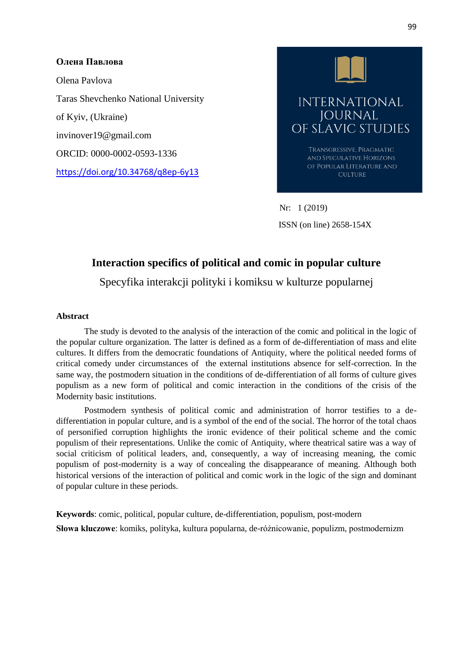## **Oлена Павлова**

Olena Pavlova Taras Shevchenko National University of Kyiv, (Ukraine) invinover19@gmail.com ORCID: [0000-0002-0593-1336](https://orcid.org/0000-0002-0593-1336) <https://doi.org/10.34768/q8ep-6y13>



 Nr: 1 (2019) ISSN (on line) 2658-154X

# **Interaction specifics of political and comic in popular culture**

Specyfika interakcji polityki i komiksu w kulturze popularnej

#### **Abstract**

The study is devoted to the analysis of the interaction of the comic and political in the logic of the popular culture organization. The latter is defined as a form of de-differentiation of mass and elite cultures. It differs from the democratic foundations of Antiquity, where the political needed forms of critical comedy under circumstances of the external institutions absence for self-correction. In the same way, the postmodern situation in the conditions of de-differentiation of all forms of culture gives populism as a new form of political and comic interaction in the conditions of the crisis of the Modernity basic institutions.

Postmodern synthesis of political comic and administration of horror testifies to a dedifferentiation in popular culture, and is a symbol of the end of the social. The horror of the total chaos of personified corruption highlights the ironic evidence of their political scheme and the comic populism of their representations. Unlike the comic of Antiquity, where theatrical satire was a way of social criticism of political leaders, and, consequently, a way of increasing meaning, the comic populism of post-modernity is a way of concealing the disappearance of meaning. Although both historical versions of the interaction of political and comic work in the logic of the sign and dominant of popular culture in these periods.

**Keywords**: comic, political, popular culture, de-differentiation, populism, post-modern **Słowa kluczowe**: komiks, polityka, kultura popularna, de-różnicowanie, populizm, postmodernizm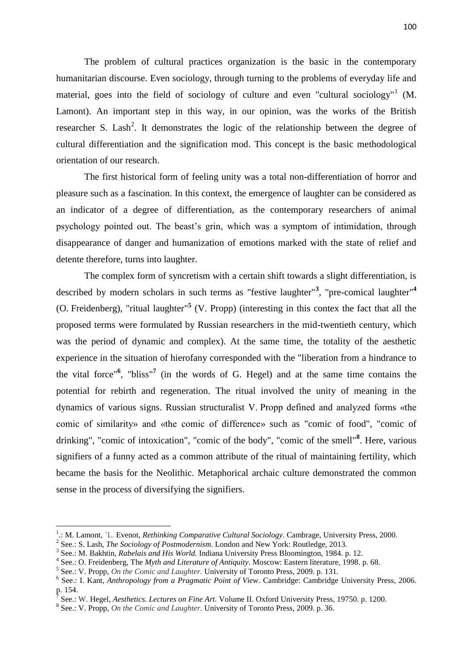The problem of cultural practices organization is the basic in the contemporary humanitarian discourse. Even sociology, through turning to the problems of everyday life and material, goes into the field of sociology of culture and even "cultural sociology"<sup>1</sup> (M. Lamont). An important step in this way, in our opinion, was the works of the British researcher S. Lash<sup>2</sup>. It demonstrates the logic of the relationship between the degree of cultural differentiation and the signification mod. This concept is the basic methodological orientation of our research.

The first historical form of feeling unity was a total non-differentiation of horror and pleasure such as a fascination. In this context, the emergence of laughter can be considered as an indicator of a degree of differentiation, as the contemporary researchers of animal psychology pointed out. The beast's grin, which was a symptom of intimidation, through disappearance of danger and humanization of emotions marked with the state of relief and detente therefore, turns into laughter.

The complex form of syncretism with a certain shift towards a slight differentiation, is described by modern scholars in such terms as "festive laughter"**<sup>3</sup>** , "pre-comical laughter" **4** (O. Freidenberg), "ritual laughter"**<sup>5</sup>** (V. Propp) (interesting in this contex the fact that all the proposed terms were formulated by Russian researchers in the mid-twentieth century, which was the period of dynamic and complex). At the same time, the totality of the aesthetic experience in the situation of hierofany corresponded with the "liberation from a hindrance to the vital force"**<sup>6</sup>** , "bliss"**<sup>7</sup>** (in the words of G. Hegel) and at the same time contains the potential for rebirth and regeneration. The ritual involved the unity of meaning in the dynamics of various signs. Russian structuralist V. Propp defined and analyzed forms «the comic of similarity» and «the comic of difference» such as "comic of food", "comic of drinking", "comic of intoxication", "comic of the body", "comic of the smell"**<sup>8</sup>** . Here, various signifiers of a funny acted as a common attribute of the ritual of maintaining fertility, which became the basis for the Neolithic. Metaphorical archaic culture demonstrated the common sense in the process of diversifying the signifiers.

1

<sup>1</sup> .: M. Lamont, ´L. Evenot, *Rethinking Comparative Cultural Sociology*. Cambrage, University Press, 2000.

<sup>2</sup> See.: S. Lash, *The Sociology of Postmodernism*. London and New York: Routledge, 2013.

<sup>3</sup> See.: M. Bakhtin, *Rabelais and His World.* Indiana University Press Bloomington, 1984. p. 12.

<sup>4</sup> See.: O. Freidenberg, The *Myth and Literature of Antiquity*. Moscow: Eastern literature, 1998. p. 68.

<sup>5</sup> See.: V. Propp, *On the Comic and Laughter*. University of Toronto Press*,* 2009. p. 131.

<sup>6</sup> See.: I. Kant*, Anthropology from a Pragmatic Point of View*. Cambridge: Cambridge University Press, 2006. p. 154.

See.: W. Hegel, *Aesthetics. Lectures on Fine Art.* Volume II. Oxford University Press*,* 19750. p. 1200.

<sup>8</sup> See.: V. Propp, *On the Comic and Laughter*. University of Toronto Press*,* 2009. p. 36.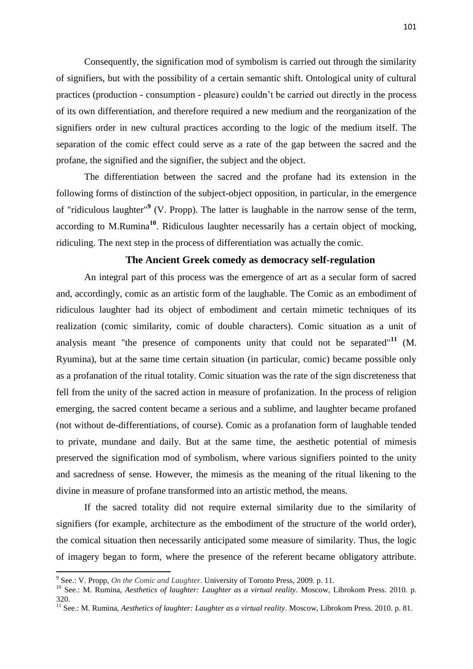Consequently, the signification mod of symbolism is carried out through the similarity of signifiers, but with the possibility of a certain semantic shift. Ontological unity of cultural practices (production - consumption - pleasure) couldn't be carried out directly in the process of its own differentiation, and therefore required a new medium and the reorganization of the signifiers order in new cultural practices according to the logic of the medium itself. The separation of the comic effect could serve as a rate of the gap between the sacred and the profane, the signified and the signifier, the subject and the object.

The differentiation between the sacred and the profane had its extension in the following forms of distinction of the subject-object opposition, in particular, in the emergence of "ridiculous laughter"**<sup>9</sup>** (V. Propp). The latter is laughable in the narrow sense of the term, according to M.Rumina**<sup>10</sup>**. Ridiculous laughter necessarily has a certain object of mocking, ridiculing. The next step in the process of differentiation was actually the comic.

## **The Ancient Greek comedy as democracy self-regulation**

An integral part of this process was the emergence of art as a secular form of sacred and, accordingly, comic as an artistic form of the laughable. The Comic as an embodiment of ridiculous laughter had its object of embodiment and certain mimetic techniques of its realization (comic similarity, comic of double characters). Comic situation as a unit of analysis meant "the presence of components unity that could not be separated"**<sup>11</sup>** (M. Ryumina), but at the same time certain situation (in particular, comic) became possible only as a profanation of the ritual totality. Comic situation was the rate of the sign discreteness that fell from the unity of the sacred action in measure of profanization. In the process of religion emerging, the sacred content became a serious and a sublime, and laughter became profaned (not without de-differentiations, of course). Comic as a profanation form of laughable tended to private, mundane and daily. But at the same time, the aesthetic potential of mimesis preserved the signification mod of symbolism, where various signifiers pointed to the unity and sacredness of sense. However, the mimesis as the meaning of the ritual likening to the divine in measure of profane transformed into an artistic method, the means.

If the sacred totality did not require external similarity due to the similarity of signifiers (for example, architecture as the embodiment of the structure of the world order), the comical situation then necessarily anticipated some measure of similarity. Thus, the logic of imagery began to form, where the presence of the referent became obligatory attribute.

 9 See.: V. Propp, *On the Comic and Laughter*. University of Toronto Press*,* 2009. p. 11.

<sup>10</sup> See.: M. Rumina, *Aesthetics of laughter: Laughter as a virtual reality*. Moscow, Librokom Press. 2010. p. 320.

<sup>&</sup>lt;sup>11</sup> See.: M. Rumina, *Aesthetics of laughter: Laughter as a virtual reality*. Moscow, Librokom Press. 2010. p. 81.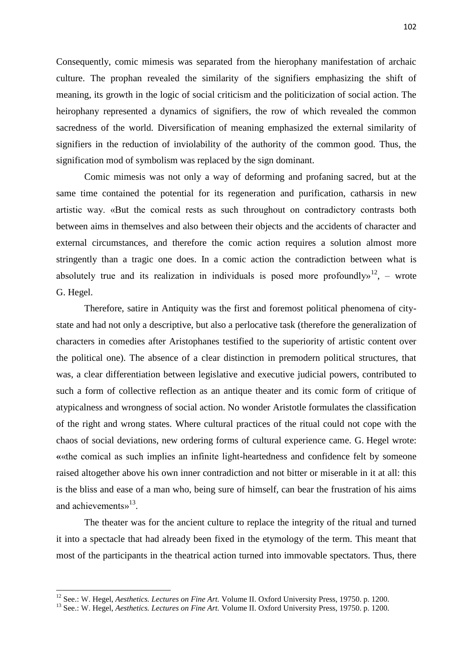Consequently, comic mimesis was separated from the hierophany manifestation of archaic culture. The prophan revealed the similarity of the signifiers emphasizing the shift of meaning, its growth in the logic of social criticism and the politicization of social action. The heirophany represented a dynamics of signifiers, the row of which revealed the common sacredness of the world. Diversification of meaning emphasized the external similarity of signifiers in the reduction of inviolability of the authority of the common good. Thus, the signification mod of symbolism was replaced by the sign dominant.

Comic mimesis was not only a way of deforming and profaning sacred, but at the same time contained the potential for its regeneration and purification, catharsis in new artistic way. «But the comical rests as such throughout on contradictory contrasts both between aims in themselves and also between their objects and the accidents of character and external circumstances, and therefore the comic action requires a solution almost more stringently than a tragic one does. In a comic action the contradiction between what is absolutely true and its realization in individuals is posed more profoundly  $n^{12}$ , – wrote G. Hegel.

Therefore, satire in Antiquity was the first and foremost political phenomena of citystate and had not only a descriptive, but also a perlocative task (therefore the generalization of characters in comedies after Aristophanes testified to the superiority of artistic content over the political one). The absence of a clear distinction in premodern political structures, that was, a clear differentiation between legislative and executive judicial powers, contributed to such a form of collective reflection as an antique theater and its comic form of critique of atypicalness and wrongness of social action. No wonder Aristotle formulates the classification of the right and wrong states. Where cultural practices of the ritual could not cope with the chaos of social deviations, new ordering forms of cultural experience came. G. Hegel wrote: **«**«the comical as such implies an infinite light-heartedness and confidence felt by someone raised altogether above his own inner contradiction and not bitter or miserable in it at all: this is the bliss and ease of a man who, being sure of himself, can bear the frustration of his aims and achievements»<sup>13</sup>.

The theater was for the ancient culture to replace the integrity of the ritual and turned it into a spectacle that had already been fixed in the etymology of the term. This meant that most of the participants in the theatrical action turned into immovable spectators. Thus, there

**.** 

<sup>12</sup> See.: W. Hegel, *Aesthetics. Lectures on Fine Art.* Volume II. Oxford University Press*,* 19750. p. 1200.

<sup>13</sup> See.: W. Hegel, *Aesthetics. Lectures on Fine Art.* Volume II. Oxford University Press*,* 19750. p. 1200.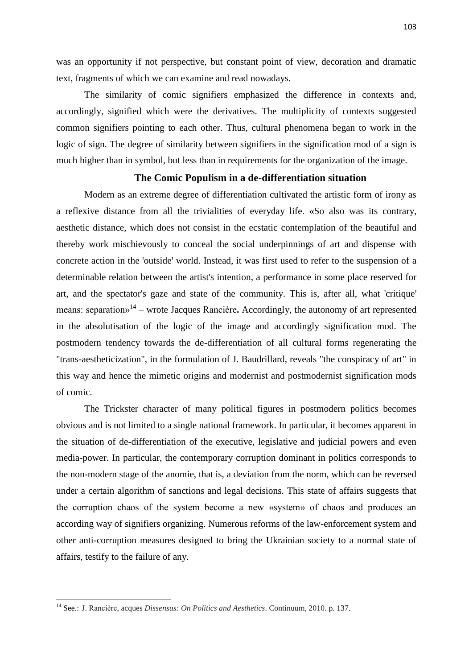was an opportunity if not perspective, but constant point of view, decoration and dramatic text, fragments of which we can examine and read nowadays.

The similarity of comic signifiers emphasized the difference in contexts and, accordingly, signified which were the derivatives. The multiplicity of contexts suggested common signifiers pointing to each other. Thus, cultural phenomena began to work in the logic of sign. The degree of similarity between signifiers in the signification mod of a sign is much higher than in symbol, but less than in requirements for the organization of the image.

#### **The Comic Populism in a de-differentiation situation**

Modern as an extreme degree of differentiation cultivated the artistic form of irony as a reflexive distance from all the trivialities of everyday life. **«**So also was its contrary, aesthetic distance, which does not consist in the ecstatic contemplation of the beautiful and thereby work mischievously to conceal the social underpinnings of art and dispense with concrete action in the 'outside' world. Instead, it was first used to refer to the suspension of a determinable relation between the artist's intention, a performance in some place reserved for art, and the spectator's gaze and state of the community. This is, after all, what 'critique' means: separation»<sup>14</sup> – wrote Jacques Rancière. Accordingly, the autonomy of art represented in the absolutisation of the logic of the image and accordingly signification mod. The postmodern tendency towards the de-differentiation of all cultural forms regenerating the "trans-aestheticization", in the formulation of J. Baudrillard, reveals "the conspiracy of art" in this way and hence the mimetic origins and modernist and postmodernist signification mods of comic.

The Trickster character of many political figures in postmodern politics becomes obvious and is not limited to a single national framework. In particular, it becomes apparent in the situation of de-differentiation of the executive, legislative and judicial powers and even media-power. In particular, the contemporary corruption dominant in politics corresponds to the non-modern stage of the anomie, that is, a deviation from the norm, which can be reversed under a certain algorithm of sanctions and legal decisions. This state of affairs suggests that the corruption chaos of the system become a new «system» of chaos and produces an according way of signifiers organizing. Numerous reforms of the law-enforcement system and other anti-corruption measures designed to bring the Ukrainian society to a normal state of affairs, testify to the failure of any.

**.** 

<sup>14</sup> See.: J. Rancière, acques *Dissensus: On Politics and Aesthetics*. Continuum, 2010. p. 137.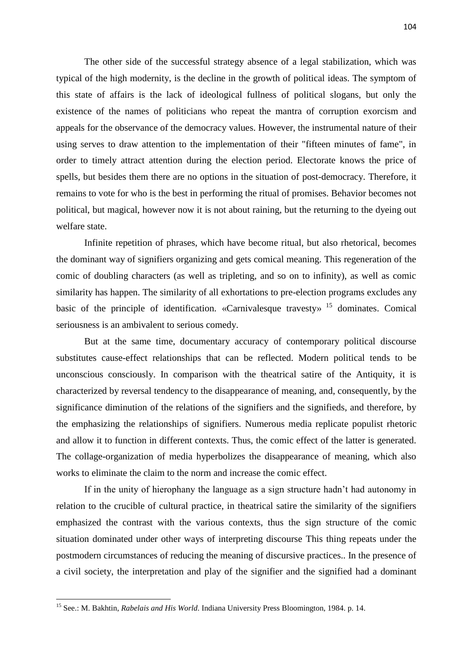The other side of the successful strategy absence of a legal stabilization, which was typical of the high modernity, is the decline in the growth of political ideas. The symptom of this state of affairs is the lack of ideological fullness of political slogans, but only the existence of the names of politicians who repeat the mantra of corruption exorcism and appeals for the observance of the democracy values. However, the instrumental nature of their using serves to draw attention to the implementation of their "fifteen minutes of fame", in order to timely attract attention during the election period. Electorate knows the price of spells, but besides them there are no options in the situation of post-democracy. Therefore, it remains to vote for who is the best in performing the ritual of promises. Behavior becomes not political, but magical, however now it is not about raining, but the returning to the dyeing out welfare state.

Infinite repetition of phrases, which have become ritual, but also rhetorical, becomes the dominant way of signifiers organizing and gets comical meaning. This regeneration of the comic of doubling characters (as well as tripleting, and so on to infinity), as well as comic similarity has happen. The similarity of all exhortations to pre-election programs excludes any basic of the principle of identification. «Carnivalesque travesty»<sup>15</sup> dominates. Comical seriousness is an ambivalent to serious comedy.

But at the same time, documentary accuracy of contemporary political discourse substitutes cause-effect relationships that can be reflected. Modern political tends to be unconscious consciously. In comparison with the theatrical satire of the Antiquity, it is characterized by reversal tendency to the disappearance of meaning, and, consequently, by the significance diminution of the relations of the signifiers and the signifieds, and therefore, by the emphasizing the relationships of signifiers. Numerous media replicate populist rhetoric and allow it to function in different contexts. Thus, the comic effect of the latter is generated. The collage-organization of media hyperbolizes the disappearance of meaning, which also works to eliminate the claim to the norm and increase the comic effect.

If in the unity of hierophany the language as a sign structure hadn't had autonomy in relation to the crucible of cultural practice, in theatrical satire the similarity of the signifiers emphasized the contrast with the various contexts, thus the sign structure of the comic situation dominated under other ways of interpreting discourse This thing repeats under the postmodern circumstances of reducing the meaning of discursive practices.. In the presence of a civil society, the interpretation and play of the signifier and the signified had a dominant

**.** 

<sup>15</sup> See.: M. Bakhtin, *Rabelais and His World.* Indiana University Press Bloomington, 1984. p. 14.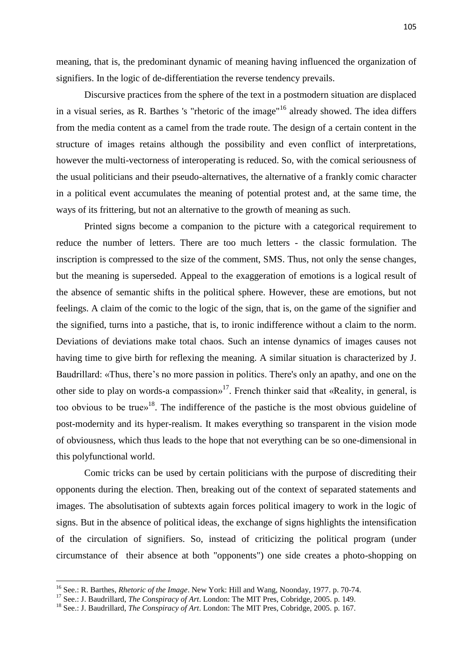meaning, that is, the predominant dynamic of meaning having influenced the organization of signifiers. In the logic of de-differentiation the reverse tendency prevails.

Discursive practices from the sphere of the text in a postmodern situation are displaced in a visual series, as R. Barthes 's "rhetoric of the image"<sup>16</sup> already showed. The idea differs from the media content as a camel from the trade route. The design of a certain content in the structure of images retains although the possibility and even conflict of interpretations, however the multi-vectorness of interoperating is reduced. So, with the comical seriousness of the usual politicians and their pseudo-alternatives, the alternative of a frankly comic character in a political event accumulates the meaning of potential protest and, at the same time, the ways of its frittering, but not an alternative to the growth of meaning as such.

Printed signs become a companion to the picture with a categorical requirement to reduce the number of letters. There are too much letters - the classic formulation. The inscription is compressed to the size of the comment, SMS. Thus, not only the sense changes, but the meaning is superseded. Appeal to the exaggeration of emotions is a logical result of the absence of semantic shifts in the political sphere. However, these are emotions, but not feelings. A claim of the comic to the logic of the sign, that is, on the game of the signifier and the signified, turns into a pastiche, that is, to ironic indifference without a claim to the norm. Deviations of deviations make total chaos. Such an intense dynamics of images causes not having time to give birth for reflexing the meaning. A similar situation is characterized by J. Baudrillard: «Thus, there's no more passion in politics. There's only an apathy, and one on the other side to play on words-a compassion»<sup>17</sup>. French thinker said that «Reality, in general, is too obvious to be true»<sup>18</sup>. The indifference of the pastiche is the most obvious guideline of post-modernity and its hyper-realism. It makes everything so transparent in the vision mode of obviousness, which thus leads to the hope that not everything can be so one-dimensional in this polyfunctional world.

Comic tricks can be used by certain politicians with the purpose of discrediting their opponents during the election. Then, breaking out of the context of separated statements and images. The absolutisation of subtexts again forces political imagery to work in the logic of signs. But in the absence of political ideas, the exchange of signs highlights the intensification of the circulation of signifiers. So, instead of criticizing the political program (under circumstance of their absence at both "opponents") one side creates a photo-shopping on

1

<sup>16</sup> See.: R. Barthes, *Rhetoric of the Image*. New York: Hill and Wang, Noonday, 1977. p. 70-74.

<sup>&</sup>lt;sup>17</sup> See.: J. Baudrillard, *The Conspiracy of Art*. London: The MIT Pres, Cobridge, 2005. p. 149.

<sup>18</sup> See.: J. Baudrillard, *The Conspiracy of Art*. London: The MIT Pres, Cobridge, 2005. p. 167.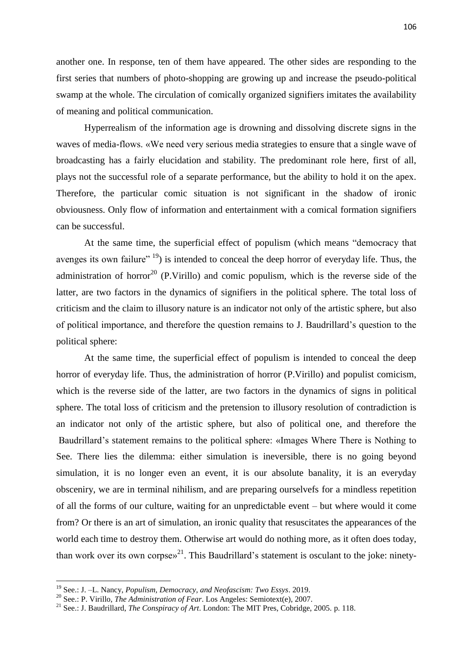another one. In response, ten of them have appeared. The other sides are responding to the first series that numbers of photo-shopping are growing up and increase the pseudo-political swamp at the whole. The circulation of comically organized signifiers imitates the availability of meaning and political communication.

Hyperrealism of the information age is drowning and dissolving discrete signs in the waves of media-flows. «We need very serious media strategies to ensure that a single wave of broadcasting has a fairly elucidation and stability. The predominant role here, first of all, plays not the successful role of a separate performance, but the ability to hold it on the apex. Therefore, the particular comic situation is not significant in the shadow of ironic obviousness. Only flow of information and entertainment with a comical formation signifiers can be successful.

At the same time, the superficial effect of populism (which means "democracy that avenges its own failure"  $19$ ) is intended to conceal the deep horror of everyday life. Thus, the administration of horror<sup>20</sup> (P.Virillo) and comic populism, which is the reverse side of the latter, are two factors in the dynamics of signifiers in the political sphere. The total loss of criticism and the claim to illusory nature is an indicator not only of the artistic sphere, but also of political importance, and therefore the question remains to J. Baudrillard's question to the political sphere:

At the same time, the superficial effect of populism is intended to conceal the deep horror of everyday life. Thus, the administration of horror (P.Virillo) and populist comicism, which is the reverse side of the latter, are two factors in the dynamics of signs in political sphere. The total loss of criticism and the pretension to illusory resolution of contradiction is an indicator not only of the artistic sphere, but also of political one, and therefore the Baudrillard's statement remains to the political sphere: «Images Where There is Nothing to See. There lies the dilemma: either simulation is ineversible, there is no going beyond simulation, it is no longer even an event, it is our absolute banality, it is an everyday obsceniry, we are in terminal nihilism, and are preparing ourselvefs for a mindless repetition of all the forms of our culture, waiting for an unpredictable event – but where would it come from? Or there is an art of simulation, an ironic quality that resuscitates the appearances of the world each time to destroy them. Otherwise art would do nothing more, as it often does today, than work over its own corpse $x^{21}$ . This Baudrillard's statement is osculant to the joke: ninety-

1

<sup>19</sup> See.: J. –L. Nancy, *Populism, Democracy, and Neofascism: Two Essys*. 2019.

<sup>20</sup> See.: P. Virillo, *The Administration of Fear*. Los Angeles: Semiotext(e), 2007.

<sup>21</sup> See.: J. Baudrillard, *The Conspiracy of Art*. London: The MIT Pres, Cobridge, 2005. p. 118.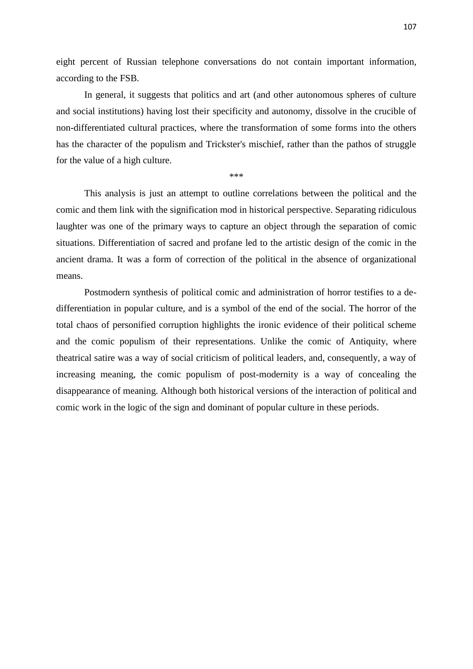eight percent of Russian telephone conversations do not contain important information, according to the FSB.

In general, it suggests that politics and art (and other autonomous spheres of culture and social institutions) having lost their specificity and autonomy, dissolve in the crucible of non-differentiated cultural practices, where the transformation of some forms into the others has the character of the populism and Trickster's mischief, rather than the pathos of struggle for the value of a high culture.

\*\*\*

This analysis is just an attempt to outline correlations between the political and the comic and them link with the signification mod in historical perspective. Separating ridiculous laughter was one of the primary ways to capture an object through the separation of comic situations. Differentiation of sacred and profane led to the artistic design of the comic in the ancient drama. It was a form of correction of the political in the absence of organizational means.

Postmodern synthesis of political comic and administration of horror testifies to a dedifferentiation in popular culture, and is a symbol of the end of the social. The horror of the total chaos of personified corruption highlights the ironic evidence of their political scheme and the comic populism of their representations. Unlike the comic of Antiquity, where theatrical satire was a way of social criticism of political leaders, and, consequently, a way of increasing meaning, the comic populism of post-modernity is a way of concealing the disappearance of meaning. Although both historical versions of the interaction of political and comic work in the logic of the sign and dominant of popular culture in these periods.